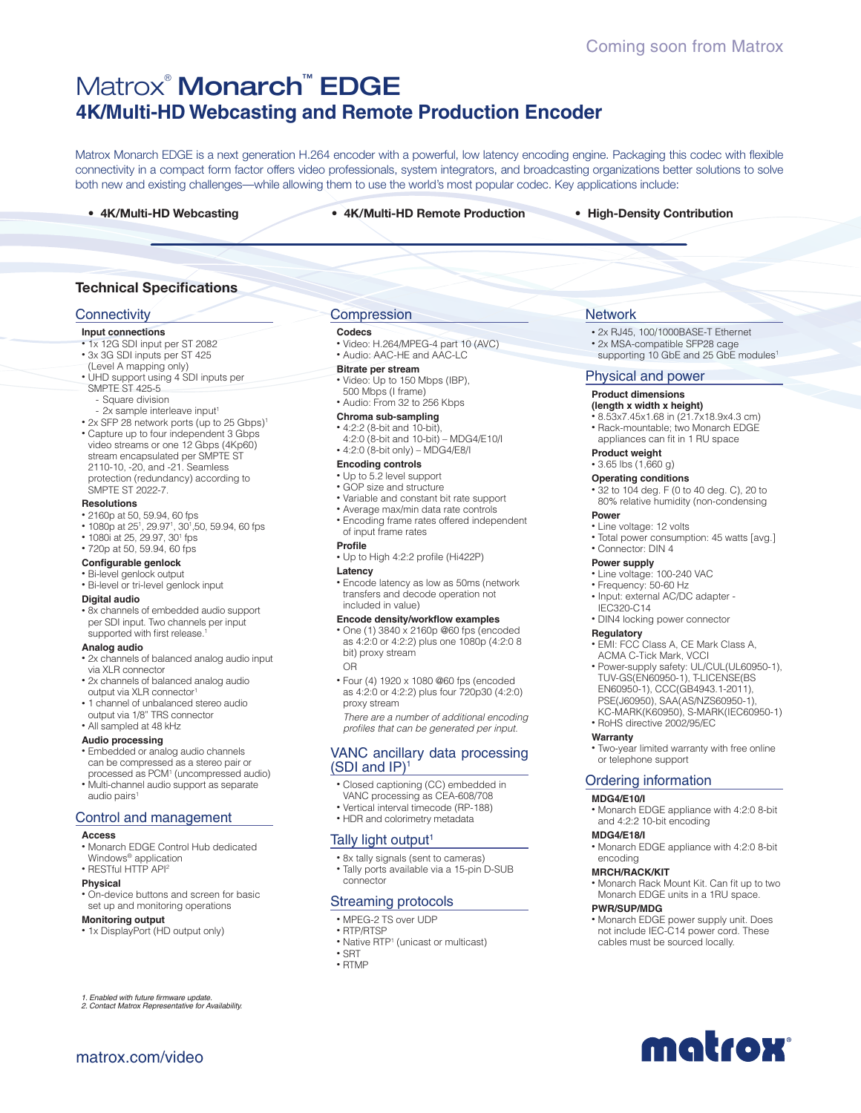# Matrox® Monarch™ EDGE **4K/Multi-HD Webcasting and Remote Production Encoder**

Matrox Monarch EDGE is a next generation H.264 encoder with a powerful, low latency encoding engine. Packaging this codec with flexible connectivity in a compact form factor offers video professionals, system integrators, and broadcasting organizations better solutions to solve both new and existing challenges—while allowing them to use the world's most popular codec. Key applications include:

**• 4K/Multi-HD Webcasting • 4K/Multi-HD Remote Production • High-Density Contribution**

## **Technical Specifications**

### **Connectivity**

#### **Input connections**

- 1x 12G SDI input per ST 2082
- 3x 3G SDI inputs per ST 425
- (Level A mapping only)
- UHD support using 4 SDI inputs per SMPTE ST 425-5
- Square division
- 2x sample interleave input<sup>1</sup>
- 2x SFP 28 network ports (up to 25 Gbps)<sup>1</sup>
- Capture up to four independent 3 Gbps video streams or one 12 Gbps (4Kp60) stream encapsulated per SMPTE ST 2110-10, -20, and -21. Seamless protection (redundancy) according to SMPTE ST 2022-7.

#### **Resolutions**

- 2160p at 50, 59.94, 60 fps
- $\cdot$  1080p at 25<sup>1</sup>, 29.97<sup>1</sup>, 30<sup>1</sup>,50, 59.94, 60 fps
- 1080i at 25, 29.97, 30<sup>1</sup> fps
- 720p at 50, 59.94, 60 fps

## **Configurable genlock**

- Bi-level genlock output
- Bi-level or tri-level genlock input

#### **Digital audio**

• 8x channels of embedded audio support per SDI input. Two channels per input supported with first release.

#### **Analog audio**

- 2x channels of balanced analog audio input via XLR connector
- 2x channels of balanced analog audio output via XLR connector1
- 1 channel of unbalanced stereo audio output via 1/8" TRS connector
- All sampled at 48 kHz
- 
- **Audio processing**  • Embedded or analog audio channels can be compressed as a stereo pair or
- processed as PCM1 (uncompressed audio) • Multi-channel audio support as separate audio pairs<sup>1</sup>

#### Control and management

#### **Access**

- Monarch EDGE Control Hub dedicated
- Windows<sup>®</sup> application
- RESTful HTTP API<sup>2</sup>

#### **Physical**

• On-device buttons and screen for basic set up and monitoring operations

#### **Monitoring output**

• 1x DisplayPort (HD output only)

*1. Enabled with future firmware update. 2. Contact Matrox Representative for Availability.*

matrox.com/video

## **Compression**

#### **Codecs**

• Video: H.264/MPEG-4 part 10 (AVC) • Audio: AAC-HE and AAC-LC

- **Bitrate per stream** • Video: Up to 150 Mbps (IBP),
- 500 Mbps (I frame)
- Audio: From 32 to 256 Kbps

#### **Chroma sub-sampling**

- 4:2:2 (8-bit and 10-bit),
- 4:2:0 (8-bit and 10-bit) MDG4/E10/I
- 4:2:0 (8-bit only) MDG4/E8/I

## **Encoding controls**

- Up to 5.2 level support
- GOP size and structure
- Variable and constant bit rate support
- Average max/min data rate controls • Encoding frame rates offered independent of input frame rates

#### **Profile**

• Up to High 4:2:2 profile (Hi422P)

#### **Latency**

• Encode latency as low as 50ms (network transfers and decode operation not included in value)

#### **Encode density/workflow examples**

- One (1) 3840 x 2160p @60 fps (encoded as 4:2:0 or 4:2:2) plus one 1080p (4:2:0 8 bit) proxy stream OR
- Four (4) 1920 x 1080 @60 fps (encoded as 4:2:0 or 4:2:2) plus four 720p30 (4:2:0) proxy stream

*There are a number of additional encoding profiles that can be generated per input.*

### VANC ancillary data processing  $(SDI$  and  $IP$ <sup>1</sup>

- Closed captioning (CC) embedded in
- VANC processing as CEA-608/708
- Vertical interval timecode (RP-188) • HDR and colorimetry metadata

#### Tally light output<sup>1</sup>

- 8x tally signals (sent to cameras)
- Tally ports available via a 15-pin D-SUB connector

### Streaming protocols

- MPEG-2 TS over UDP
- RTP/RTSP
- Native RTP<sup>1</sup> (unicast or multicast)
- SRT
- RTMP

## **Network**

- 2x RJ45, 100/1000BASE-T Ethernet
- 2x MSA-compatible SFP28 cage supporting 10 GbE and 25 GbE modules<sup>1</sup>
- 

## Physical and power

### **Product dimensions**

- **(length x width x height)** • 8.53x7.45x1.68 in (21.7x18.9x4.3 cm)
- Rack-mountable; two Monarch EDGE
- appliances can fit in 1 RU space

### **Product weight**

- 3.65 lbs (1,660 g)
- **Operating conditions**
- 32 to 104 deg. F (0 to 40 deg. C), 20 to 80% relative humidity (non-condensing

### **Power**

• Line voltage: 12 volts

• Frequency: 50-60 Hz • Input: external AC/DC adapter -

• DIN4 locking power connector

• RoHS directive 2002/95/EC

and 4:2:2 10-bit encoding

or telephone support Ordering information

• EMI: FCC Class A, CE Mark Class A, ACMA C-Tick Mark, VCCI

• Power-supply safety: UL/CUL(UL60950-1), TUV-GS(EN60950-1), T-LICENSE(BS EN60950-1), CCC(GB4943.1-2011), PSE(J60950), SAA(AS/NZS60950-1), KC-MARK(K60950), S-MARK(IEC60950-1)

• Two-year limited warranty with free online

• Monarch EDGE appliance with 4:2:0 8-bit

• Monarch EDGE appliance with 4:2:0 8-bit

• Monarch Rack Mount Kit. Can fit up to two Monarch EDGE units in a 1RU space.

• Monarch EDGE power supply unit. Does not include IEC-C14 power cord. These cables must be sourced locally.

matrox

• Total power consumption: 45 watts [avg.]

## • Connector: DIN 4

**Power supply** • Line voltage: 100-240 VAC

IEC320-C14

**Regulatory**

**Warranty**

**MDG4/E10/I**

**MDG4/E18/I**

encoding **MRCH/RACK/KIT**

**PWR/SUP/MDG**